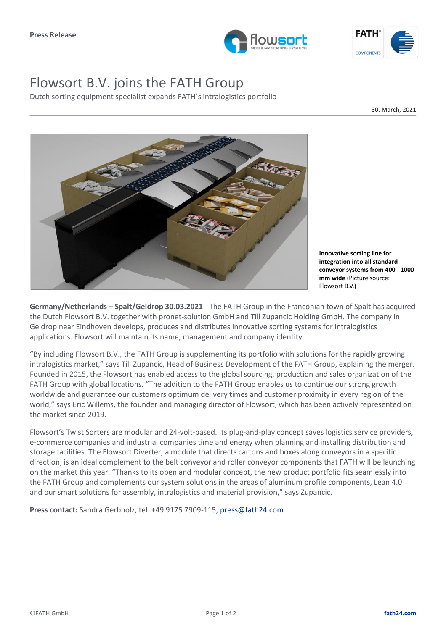



## Flowsort B.V. joins the FATH Group

Dutch sorting equipment specialist expands FATH´s intralogistics portfolio

30. March, 2021



**Innovative sorting line for integration into all standard conveyor systems from 400 - 1000 mm wide** (Picture source: Flowsort B.V.)

**Germany/Netherlands – Spalt/Geldrop 30.03.2021** - The FATH Group in the Franconian town of Spalt has acquired the Dutch Flowsort B.V. together with pronet-solution GmbH and Till Zupancic Holding GmbH. The company in Geldrop near Eindhoven develops, produces and distributes innovative sorting systems for intralogistics applications. Flowsort will maintain its name, management and company identity.

"By including Flowsort B.V., the FATH Group is supplementing its portfolio with solutions for the rapidly growing intralogistics market," says Till Zupancic, Head of Business Development of the FATH Group, explaining the merger. Founded in 2015, the Flowsort has enabled access to the global sourcing, production and sales organization of the FATH Group with global locations. "The addition to the FATH Group enables us to continue our strong growth worldwide and guarantee our customers optimum delivery times and customer proximity in every region of the world," says Eric Willems, the founder and managing director of Flowsort, which has been actively represented on the market since 2019.

Flowsort's Twist Sorters are modular and 24-volt-based. Its plug-and-play concept saves logistics service providers, e-commerce companies and industrial companies time and energy when planning and installing distribution and storage facilities. The Flowsort Diverter, a module that directs cartons and boxes along conveyors in a specific direction, is an ideal complement to the belt conveyor and roller conveyor components that FATH will be launching on the market this year. "Thanks to its open and modular concept, the new product portfolio fits seamlessly into the FATH Group and complements our system solutions in the areas of aluminum profile components, Lean 4.0 and our smart solutions for assembly, intralogistics and material provision," says Zupancic.

**Press contact:** Sandra Gerbholz, tel. +49 9175 7909-115, press@fath24.com